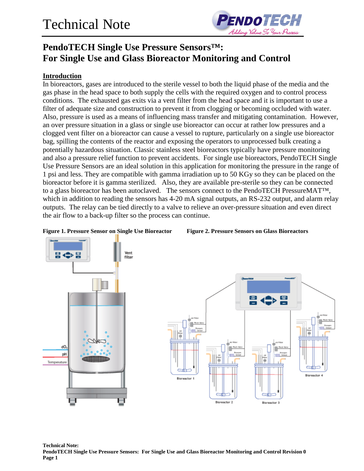

### **PendoTECH Single Use Pressure Sensors™: For Single Use and Glass Bioreactor Monitoring and Control**

#### **Introduction**

In bioreactors, gases are introduced to the sterile vessel to both the liquid phase of the media and the gas phase in the head space to both supply the cells with the required oxygen and to control process conditions. The exhausted gas exits via a vent filter from the head space and it is important to use a filter of adequate size and construction to prevent it from clogging or becoming occluded with water. Also, pressure is used as a means of influencing mass transfer and mitigating contamination. However, an over pressure situation in a glass or single use bioreactor can occur at rather low pressures and a clogged vent filter on a bioreactor can cause a vessel to rupture, particularly on a single use bioreactor bag, spilling the contents of the reactor and exposing the operators to unprocessed bulk creating a potentially hazardous situation. Classic stainless steel bioreactors typically have pressure monitoring and also a pressure relief function to prevent accidents. For single use bioreactors, PendoTECH Single Use Pressure Sensors are an ideal solution in this application for monitoring the pressure in the range of 1 psi and less. They are compatible with gamma irradiation up to 50 KGy so they can be placed on the bioreactor before it is gamma sterilized. Also, they are available pre-sterile so they can be connected to a glass bioreactor has been autoclaved. The sensors connect to the PendoTECH PressureMAT™, which in addition to reading the sensors has 4-20 mA signal outputs, an RS-232 output, and alarm relay outputs. The relay can be tied directly to a valve to relieve an over-pressure situation and even direct the air flow to a back-up filter so the process can continue.

**Figure 1. Pressure Sensor on Single Use Bioreactor Figure 2. Pressure Sensors on Glass Bioreactors**





**Technical Note: PendoTECH Single Use Pressure Sensors: For Single Use and Glass Bioreactor Monitoring and Control Revision 0 Page 1**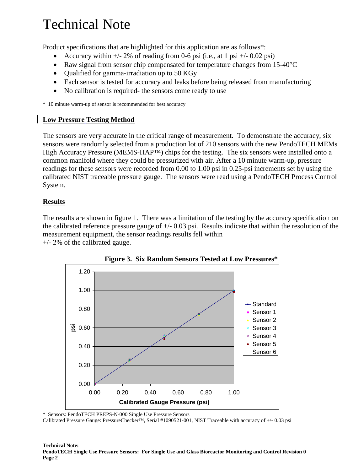# Technical Note

Product specifications that are highlighted for this application are as follows\*:

- Accuracy within  $+/- 2\%$  of reading from 0-6 psi (i.e., at 1 psi  $+/- 0.02$  psi)
- Raw signal from sensor chip compensated for temperature changes from 15-40<sup>o</sup>C
- Qualified for gamma-irradiation up to 50 KGy
- Each sensor is tested for accuracy and leaks before being released from manufacturing
- No calibration is required- the sensors come ready to use

\* 10 minute warm-up of sensor is recommended for best accuracy

### **Low Pressure Testing Method**

The sensors are very accurate in the critical range of measurement. To demonstrate the accuracy, six sensors were randomly selected from a production lot of 210 sensors with the new PendoTECH MEMs High Accuracy Pressure (MEMS-HAP™) chips for the testing. The six sensors were installed onto a common manifold where they could be pressurized with air. After a 10 minute warm-up, pressure readings for these sensors were recorded from 0.00 to 1.00 psi in 0.25-psi increments set by using the calibrated NIST traceable pressure gauge. The sensors were read using a PendoTECH Process Control System.

#### **Results**

The results are shown in figure 1. There was a limitation of the testing by the accuracy specification on the calibrated reference pressure gauge of  $+/- 0.03$  psi. Results indicate that within the resolution of the measurement equipment, the sensor readings results fell within +/- 2% of the calibrated gauge.





\* Sensors: PendoTECH PREPS-N-000 Single Use Pressure Sensors

Calibrated Pressure Gauge: PressureChecker™, Serial #1090521-001, NIST Traceable with accuracy of +/- 0.03 psi